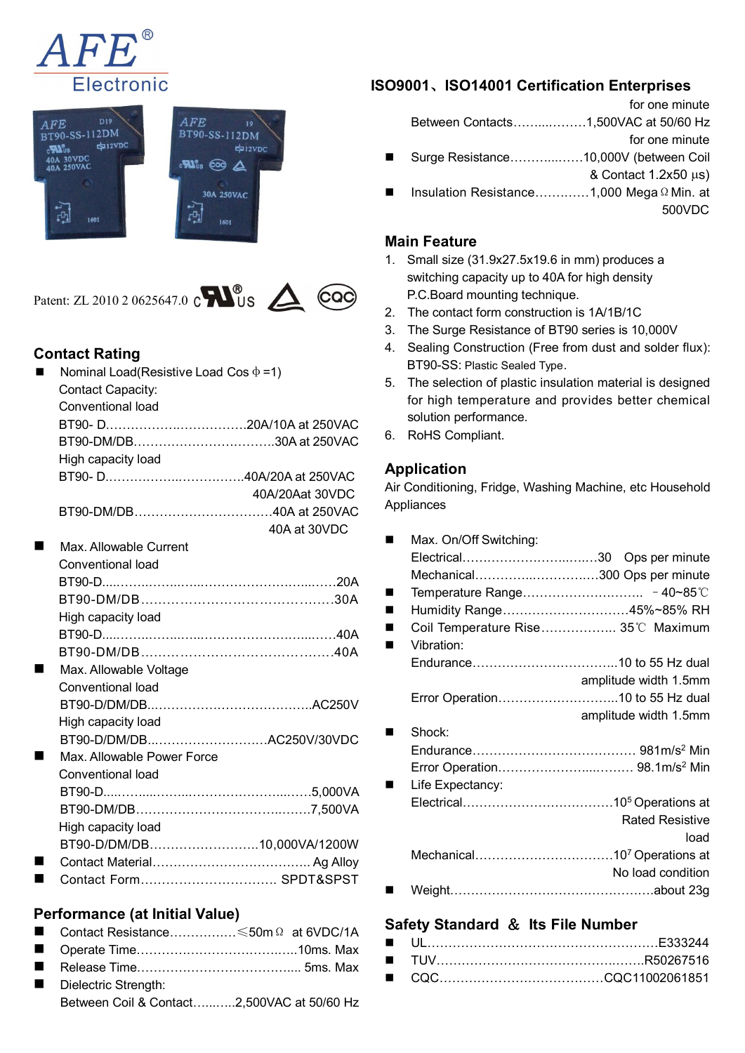





### **Contact Rating**

| п | Nominal Load(Resistive Load Cos $\phi$ =1)<br>Contact Capacity: |                 | 5. | B I 90-SS: Plastic Sealed Type.<br>The selection of plastic insulatio<br>for high temperature and prov |
|---|-----------------------------------------------------------------|-----------------|----|--------------------------------------------------------------------------------------------------------|
|   | Conventional load                                               |                 |    | solution performance.                                                                                  |
|   |                                                                 |                 | 6. | RoHS Compliant.                                                                                        |
|   |                                                                 |                 |    |                                                                                                        |
|   | High capacity load                                              |                 |    |                                                                                                        |
|   |                                                                 |                 |    | <b>Application</b>                                                                                     |
|   |                                                                 | 40A/20Aat 30VDC |    | Air Conditioning, Fridge, Washing M                                                                    |
|   |                                                                 |                 |    | Appliances                                                                                             |
|   |                                                                 | 40A at 30VDC    |    |                                                                                                        |
| ш | Max. Allowable Current                                          |                 | ■  | Max. On/Off Switching:                                                                                 |
|   | Conventional load                                               |                 |    | Electrical                                                                                             |
|   |                                                                 |                 |    | Mechanical                                                                                             |
|   |                                                                 |                 |    | Temperature Range                                                                                      |
|   | High capacity load                                              |                 | ■  | Humidity Range                                                                                         |
|   |                                                                 |                 | ш  | Coil Temperature Rise                                                                                  |
|   |                                                                 |                 | ■  | Vibration:                                                                                             |
| ■ | Max. Allowable Voltage                                          |                 |    | Endurance                                                                                              |
|   | Conventional load                                               |                 |    |                                                                                                        |
|   |                                                                 |                 |    | Error Operation                                                                                        |
|   | High capacity load                                              |                 |    |                                                                                                        |
|   | BT90-D/DM/DBAC250V/30VDC                                        |                 | ■  | Shock:                                                                                                 |
| П | Max. Allowable Power Force                                      |                 |    | Endurance                                                                                              |
|   | Conventional load                                               |                 |    | Error Operation                                                                                        |
|   |                                                                 |                 | ■  | Life Expectancy:                                                                                       |
|   |                                                                 |                 |    | Electrical                                                                                             |
|   | High capacity load                                              |                 |    |                                                                                                        |
|   | BT90-D/DM/DB10,000VA/1200W                                      |                 |    |                                                                                                        |
| ■ |                                                                 |                 |    | Mechanical                                                                                             |
| ш |                                                                 |                 |    | Moint                                                                                                  |
|   |                                                                 |                 |    |                                                                                                        |

#### **Performance (at Initial Value)**

- Contact Resistance………….…≤50mΩ at 6VDC/1A ■ Operate Time…………………………………………………………10ms. Max
- Release Time……………………………….... 5ms. Max
- Dielectric Strength:
- Between Coil & Contact…...…..2,500VAC at 50/60 Hz

## **ISO9001**、**ISO14001 Certification Enterprises**

|                |                                                  | for one minute             |
|----------------|--------------------------------------------------|----------------------------|
|                | Between Contacts1,500VAC at 50/60 Hz             |                            |
|                |                                                  | for one minute             |
| $\blacksquare$ |                                                  |                            |
|                |                                                  | & Contact $1.2x50 \mu s$ ) |
| $\blacksquare$ | Insulation Resistance1,000 Mega $\Omega$ Min. at |                            |
|                |                                                  | 500VDC                     |

## **Main Feature**

- 1. Small size (31.9x27.5x19.6 in mm) produces a switching capacity up to 40A for high density P.C.Board mounting technique.
- 2. The contact form construction is 1A/1B/1C
- 3. The Surge Resistance of BT90 series is 10,000V
- 4. Sealing Construction (Free from dust and solder flux): BT90-SS: Plastic Sealed Type.
- 5. The selection of plastic insulation material is designed for high temperature and provides better chemical solution performance.
- 6. RoHS Compliant.

## **Application**

40A/20Aat 30VDC Air Conditioning, Fridge, Washing Machine, etc Household Appliances

|                | Max. On/Off Switching:            |                        |
|----------------|-----------------------------------|------------------------|
|                |                                   |                        |
|                | Mechanical300 Ops per minute      |                        |
| ■              |                                   |                        |
| $\blacksquare$ | Humidity Range45%~85% RH          |                        |
| $\blacksquare$ | Coil Temperature Rise 35℃ Maximum |                        |
| п              | Vibration:                        |                        |
|                |                                   |                        |
|                | amplitude width 1.5mm             |                        |
|                |                                   |                        |
|                | amplitude width 1.5mm             |                        |
|                | Shock:                            |                        |
|                |                                   |                        |
|                |                                   |                        |
| $\blacksquare$ | Life Expectancy:                  |                        |
|                |                                   |                        |
|                |                                   | <b>Rated Resistive</b> |
|                |                                   | load                   |
|                |                                   |                        |
|                | No load condition                 |                        |
|                |                                   |                        |

#### **Safety Standard** & **Its File Number**